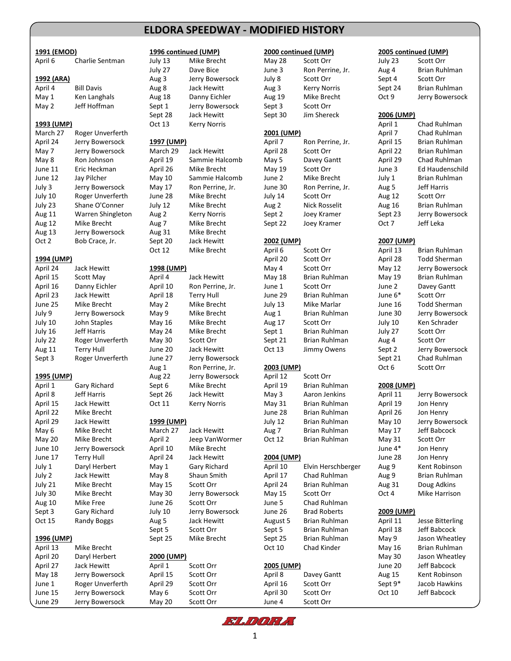# **ELDORA ELDORA SPEEDWAY - MODIFIED HISTORY SPEEDWAY - MODIFIED HISTORY**

| 1991 (EMOD)        |                              |            | 1996 continued (UMP) |                   | 2000 continued (UMP)       |                   | 2005 continued (UMP)     |
|--------------------|------------------------------|------------|----------------------|-------------------|----------------------------|-------------------|--------------------------|
| April 6            | Charlie Sentman              | July 13    | Mike Brecht          | <b>May 28</b>     | Scott Orr                  | July 23           | Scott Orr                |
|                    |                              | July 27    | Dave Bice            | June 3            | Ron Perrine, Jr.           | Aug 4             | Brian Ruhlman            |
| 1992 (ARA)         |                              | Aug 3      | Jerry Bowersock      | July 8            | Scott Orr                  | Sept 4            | Scott Orr                |
| April 4            | <b>Bill Davis</b>            | Aug 8      | Jack Hewitt          | Aug 3             | <b>Kerry Norris</b>        | Sept 24           | Brian Ruhlman            |
| May 1              | Ken Langhals                 | Aug 18     | Danny Eichler        | Aug 19            | Mike Brecht                | Oct 9             | Jerry Bowerso            |
| May 2              | Jeff Hoffman                 | Sept 1     | Jerry Bowersock      | Sept 3            | Scott Orr                  |                   |                          |
|                    |                              | Sept 28    | Jack Hewitt          | Sept 30           | Jim Shereck                | 2006 (UMP)        |                          |
| 1993 (UMP)         |                              | Oct 13     | <b>Kerry Norris</b>  |                   |                            | April 1           | Chad Ruhlman             |
| March 27           | Roger Unverferth             |            |                      | 2001 (UMP)        |                            | April 7           | Chad Ruhlman             |
| April 24           | Jerry Bowersock              | 1997 (UMP) |                      | April 7           | Ron Perrine, Jr.           | April 15          | Brian Ruhlman            |
| May 7              | Jerry Bowersock              | March 29   | Jack Hewitt          | April 28          | Scott Orr                  | April 22          | Brian Ruhlman            |
| May 8              | Ron Johnson                  | April 19   | Sammie Halcomb       | May 5             | Davey Gantt                | April 29          | Chad Ruhlman             |
| June 11            | Eric Heckman                 | April 26   | Mike Brecht          | May 19            | Scott Orr                  | June 3            | Ed Haudenschi            |
| June 12            | Jay Pilcher                  | May 10     | Sammie Halcomb       | June 2            | Mike Brecht                | July 1            | Brian Ruhlman            |
| July 3             | Jerry Bowersock              | May 17     | Ron Perrine, Jr.     | June 30           | Ron Perrine, Jr.           | Aug 5             | Jeff Harris              |
| July 10            | Roger Unverferth             | June 28    | Mike Brecht          | July 14           | Scott Orr                  | Aug 12            | Scott Orr                |
| July 23            | Shane O'Conner               | July 12    | Mike Brecht          | Aug 2             | <b>Nick Rosselit</b>       | Aug 16            | Brian Ruhlman            |
| Aug 11             | Warren Shingleton            | Aug 2      | <b>Kerry Norris</b>  | Sept 2            | Joey Kramer                | Sept 23           | Jerry Bowerso            |
| Aug 12             | Mike Brecht                  | Aug 7      | Mike Brecht          | Sept 22           | Joey Kramer                | Oct 7             | Jeff Leka                |
| Aug 13             | Jerry Bowersock              | Aug 31     | Mike Brecht          |                   |                            |                   |                          |
| Oct 2              | Bob Crace, Jr.               | Sept 20    | Jack Hewitt          | 2002 (UMP)        |                            | 2007 (UMP)        |                          |
|                    |                              | Oct 12     | Mike Brecht          | April 6           | Scott Orr                  | April 13          | <b>Brian Ruhlman</b>     |
|                    |                              |            |                      | April 20          |                            | April 28          | <b>Todd Sherman</b>      |
| 1994 (UMP)         | Jack Hewitt                  | 1998 (UMP) |                      |                   | Scott Orr<br>Scott Orr     |                   | Jerry Bowerso            |
| April 24           |                              |            |                      | May 4             | <b>Brian Ruhlman</b>       | May 12            |                          |
| April 15           | Scott May                    | April 4    | Jack Hewitt          | <b>May 18</b>     |                            | May 19            | Brian Ruhlman            |
| April 16           | Danny Eichler<br>Jack Hewitt | April 10   | Ron Perrine, Jr.     | June 1<br>June 29 | Scott Orr<br>Brian Ruhlman | June 2<br>June 6* | Davey Gantt<br>Scott Orr |
| April 23           |                              | April 18   | <b>Terry Hull</b>    |                   |                            |                   | <b>Todd Sherman</b>      |
| June 25            | Mike Brecht                  | May 2      | Mike Brecht          | July 13           | Mike Marlar                | June 16           |                          |
| July 9             | Jerry Bowersock              | May 9      | Mike Brecht          | Aug 1             | Brian Ruhlman              | June 30           | Jerry Bowerso            |
| July 10            | John Staples                 | May 16     | Mike Brecht          | Aug 17            | Scott Orr                  | July 10           | Ken Schrader             |
| July 16            | Jeff Harris                  | May 24     | Mike Brecht          | Sept 1            | Brian Ruhlman              | July 27           | Scott Orr                |
| July 22            | Roger Unverferth             | May 30     | Scott Orr            | Sept 21           | Brian Ruhlman              | Aug 4             | Scott Orr                |
| Aug 11             | <b>Terry Hull</b>            | June 20    | Jack Hewitt          | Oct 13            | Jimmy Owens                | Sept 2            | Jerry Bowerso            |
| Sept 3             | Roger Unverferth             | June 27    | Jerry Bowersock      |                   |                            | Sept 21           | Chad Ruhlman             |
|                    |                              | Aug 1      | Ron Perrine, Jr.     | 2003 (UMP)        |                            | Oct 6             | Scott Orr                |
| 1995 (UMP)         |                              | Aug 22     | Jerry Bowersock      | April 12          | Scott Orr                  |                   |                          |
| April 1            | Gary Richard                 | Sept 6     | Mike Brecht          | April 19          | Brian Ruhlman              | 2008 (UMP)        |                          |
| April 8            | Jeff Harris                  | Sept 26    | Jack Hewitt          | May 3             | Aaron Jenkins              | April 11          | Jerry Bowerso            |
| April 15           | Jack Hewitt                  | Oct 11     | <b>Kerry Norris</b>  | May 31            | <b>Brian Ruhlman</b>       | April 19          | Jon Henry                |
| April 22           | Mike Brecht                  |            |                      | June 28           | Brian Ruhlman              | April 26          | Jon Henry                |
| April 29           | Jack Hewitt                  | 1999 (UMP) |                      | July 12           | Brian Ruhlman              | May 10            | Jerry Bowerso            |
| May 6              | Mike Brecht                  | March 27   | Jack Hewitt          | Aug 7             | Brian Ruhlman              | May 17            | Jeff Babcock             |
| May 20             | Mike Brecht                  | April 2    | Jeep VanWormer       | Oct 12            | Brian Ruhlman              | May 31            | Scott Orr                |
| June 10            | Jerry Bowersock              | April 10   | Mike Brecht          |                   |                            | June 4*           | Jon Henry                |
| June 17            | <b>Terry Hull</b>            | April 24   | Jack Hewitt          | 2004 (UMP)        |                            | June 28           | Jon Henry                |
| July 1             | Daryl Herbert                | May 1      | Gary Richard         | April 10          | Elvin Herschberger         | Aug 9             | Kent Robinson            |
| July 2             | Jack Hewitt                  | May 8      | Shaun Smith          | April 17          | Chad Ruhlman               | Aug 9             | Brian Ruhlman            |
| July 21            | Mike Brecht                  | May 15     | Scott Orr            | April 24          | Brian Ruhlman              | Aug 31            | Doug Adkins              |
| July 30            | Mike Brecht                  | May 30     | Jerry Bowersock      | May 15            | Scott Orr                  | Oct 4             | Mike Harrison            |
| Aug 10             | Mike Free                    | June 26    | Scott Orr            | June 5            | Chad Ruhlman               |                   |                          |
| Sept 3             | Gary Richard                 | July 10    | Jerry Bowersock      | June 26           | <b>Brad Roberts</b>        | 2009 (UMP)        |                          |
| Oct 15             | <b>Randy Boggs</b>           | Aug 5      | Jack Hewitt          | August 5          | Brian Ruhlman              | April 11          | Jesse Bitterling         |
|                    |                              | Sept 5     | Scott Orr            | Sept 5            | Brian Ruhlman              | April 18          | Jeff Babcock             |
| <u> 1996 (UMP)</u> |                              | Sept 25    | Mike Brecht          | Sept 25           | Brian Ruhlman              | May 9             | Jason Wheatle            |
| April 13           | Mike Brecht                  |            |                      | Oct 10            | Chad Kinder                | May 16            | Brian Ruhlman            |
| April 20           | Daryl Herbert                | 2000 (UMP) |                      |                   |                            | May 30            | Jason Wheatle            |
| April 27           | Jack Hewitt                  | April 1    | Scott Orr            | 2005 (UMP)        |                            | June 20           | Jeff Babcock             |
| May 18             | Jerry Bowersock              | April 15   | Scott Orr            | April 8           | Davey Gantt                | Aug 15            | Kent Robinson            |
| June 1             | Roger Unverferth             | April 29   | Scott Orr            | April 16          | Scott Orr                  | Sept 9*           | Jacob Hawkins            |
| June 15            | Jerry Bowersock              | May 6      | Scott Orr            | April 30          | Scott Orr                  | Oct 10            | Jeff Babcock             |

| 1991 (EMOD)        |                             |                  | 1996 continued (UMP)     |                   | 2000 continued (UMP)       |                  | 2005 continued (UMP)   |
|--------------------|-----------------------------|------------------|--------------------------|-------------------|----------------------------|------------------|------------------------|
| April 6            | Charlie Sentman             | July 13          | Mike Brecht              | May 28            | Scott Orr                  | July 23          | Scott Orr              |
|                    |                             | July 27          | Dave Bice                | June 3            | Ron Perrine, Jr.           | Aug 4            | <b>Brian Ruhlm</b>     |
| 1992 (ARA)         |                             | Aug 3            | Jerry Bowersock          | July 8            | Scott Orr                  | Sept 4           | Scott Orr              |
| April 4            | <b>Bill Davis</b>           | Aug 8            | Jack Hewitt              | Aug 3             | <b>Kerry Norris</b>        | Sept 24          | <b>Brian Ruhlm</b>     |
| May 1              | Ken Langhals                | Aug 18           | Danny Eichler            | Aug 19            | Mike Brecht                | Oct 9            | Jerry Bowers           |
| May 2              | Jeff Hoffman                | Sept 1           | Jerry Bowersock          | Sept 3            | Scott Orr                  |                  |                        |
|                    |                             | Sept 28          | Jack Hewitt              | Sept 30           | Jim Shereck                | 2006 (UMP)       |                        |
| 1993 (UMP)         |                             | Oct 13           | <b>Kerry Norris</b>      |                   |                            | April 1          | Chad Ruhlm             |
| March 27           | Roger Unverferth            |                  |                          | 2001 (UMP)        |                            | April 7          | Chad Ruhlm             |
| April 24           | Jerry Bowersock             | 1997 (UMP)       |                          | April 7           | Ron Perrine, Jr.           | April 15         | Brian Ruhlm            |
| May 7              | Jerry Bowersock             | March 29         | Jack Hewitt              | April 28          | Scott Orr                  | April 22         | Brian Ruhlm            |
| May 8              | Ron Johnson                 | April 19         | Sammie Halcomb           | May 5             | Davey Gantt                | April 29         | Chad Ruhlm             |
| June 11            | Eric Heckman                | April 26         | Mike Brecht              | May 19            | Scott Orr                  | June 3           | <b>Ed Haudenso</b>     |
| June 12            | Jay Pilcher                 | May 10           | Sammie Halcomb           | June 2            | Mike Brecht                | July 1           | <b>Brian Ruhlm</b>     |
| July 3             | Jerry Bowersock             | May 17           | Ron Perrine, Jr.         | June 30           | Ron Perrine, Jr.           | Aug 5            | Jeff Harris            |
| July 10            | Roger Unverferth            | June 28          | Mike Brecht              | July 14           | Scott Orr                  | Aug 12           | Scott Orr              |
| July 23            | Shane O'Conner              | July 12          | Mike Brecht              | Aug 2             | <b>Nick Rosselit</b>       | Aug 16           | <b>Brian Ruhlm</b>     |
| Aug 11             | Warren Shingleton           | Aug 2            | <b>Kerry Norris</b>      | Sept 2            | Joey Kramer                | Sept 23          | Jerry Bowers           |
| Aug 12             | Mike Brecht                 | Aug 7            | Mike Brecht              | Sept 22           | Joey Kramer                | Oct 7            | Jeff Leka              |
| Aug 13             | Jerry Bowersock             | Aug 31           | Mike Brecht              |                   |                            |                  |                        |
| Oct 2              | Bob Crace, Jr.              | Sept 20          | Jack Hewitt              | 2002 (UMP)        |                            | 2007 (UMP)       |                        |
|                    |                             | Oct 12           | Mike Brecht              | April 6           | Scott Orr                  | April 13         | <b>Brian Ruhlm</b>     |
| 1994 (UMP)         |                             |                  |                          | April 20          | Scott Orr                  | April 28         | Todd Sherma            |
| April 24           | Jack Hewitt                 | 1998 (UMP)       |                          | May 4             | Scott Orr                  | May 12           | Jerry Bowers           |
| April 15           | Scott May                   | April 4          | Jack Hewitt              | May 18            | Brian Ruhlman              | May 19           | <b>Brian Ruhlm</b>     |
| April 16           | Danny Eichler               | April 10         | Ron Perrine, Jr.         | June 1            | Scott Orr                  | June 2           | Davey Gantt            |
| April 23           | Jack Hewitt                 | April 18         | <b>Terry Hull</b>        | June 29           | Brian Ruhlman              | June 6*          | Scott Orr              |
| June 25            | Mike Brecht                 | May 2            | Mike Brecht              | July 13           | Mike Marlar                | June 16          | Todd Sherm             |
| July 9             | Jerry Bowersock             | May 9            | Mike Brecht              | Aug 1             | Brian Ruhlman              | June 30          | Jerry Bowers           |
| July 10            | John Staples<br>Jeff Harris | May 16           | Mike Brecht              | Aug 17            | Scott Orr<br>Brian Ruhlman | July 10          | Ken Schrade            |
| July 16<br>July 22 | Roger Unverferth            | May 24<br>May 30 | Mike Brecht<br>Scott Orr | Sept 1<br>Sept 21 | Brian Ruhlman              | July 27<br>Aug 4 | Scott Orr<br>Scott Orr |
| Aug 11             | <b>Terry Hull</b>           | June 20          | Jack Hewitt              | Oct 13            | Jimmy Owens                | Sept 2           | Jerry Bowers           |
| Sept 3             | Roger Unverferth            | June 27          | Jerry Bowersock          |                   |                            | Sept 21          | Chad Ruhlm             |
|                    |                             | Aug 1            | Ron Perrine, Jr.         | 2003 (UMP)        |                            | Oct 6            | Scott Orr              |
| 1995 (UMP)         |                             | Aug 22           | Jerry Bowersock          | April 12          | Scott Orr                  |                  |                        |
| April 1            | Gary Richard                | Sept 6           | Mike Brecht              | April 19          | Brian Ruhlman              | 2008 (UMP)       |                        |
| April 8            | <b>Jeff Harris</b>          | Sept 26          | Jack Hewitt              | May 3             | Aaron Jenkins              | April 11         | Jerry Bowers           |
| April 15           | Jack Hewitt                 | Oct 11           | <b>Kerry Norris</b>      | May 31            | Brian Ruhlman              | April 19         | Jon Henry              |
| April 22           | Mike Brecht                 |                  |                          | June 28           | Brian Ruhlman              | April 26         | Jon Henry              |
| April 29           | Jack Hewitt                 | 1999 (UMP)       |                          | July 12           | Brian Ruhlman              | May 10           | Jerry Bowers           |
| May 6              | Mike Brecht                 | March 27         | Jack Hewitt              | Aug 7             | Brian Ruhlman              | May 17           | Jeff Babcock           |
| <b>May 20</b>      | Mike Brecht                 | April 2          | Jeep VanWormer           | Oct 12            | Brian Ruhlman              | May 31           | Scott Orr              |
| June 10            | Jerry Bowersock             | April 10         | Mike Brecht              |                   |                            | June 4*          | Jon Henry              |
| June 17            | Terry Hull                  | April 24         | Jack Hewitt              | 2004 (UMP)        |                            | June 28          | Jon Henry              |
| July 1             | Daryl Herbert               | May 1            | Gary Richard             | April 10          | Elvin Herschberger         | Aug 9            | Kent Robins            |
| July 2             | Jack Hewitt                 | May 8            | Shaun Smith              | April 17          | Chad Ruhlman               | Aug 9            | <b>Brian Ruhlm</b>     |
| July 21            | Mike Brecht                 | May 15           | Scott Orr                | April 24          | Brian Ruhlman              | Aug 31           | Doug Adkins            |
| July 30            | Mike Brecht                 | May 30           | Jerry Bowersock          | May 15            | Scott Orr                  | Oct 4            | Mike Harrisc           |
| Aug 10             | <b>Mike Free</b>            | June 26          | Scott Orr                | June 5            | Chad Ruhlman               |                  |                        |
| Sept 3             | Gary Richard                | July 10          | Jerry Bowersock          | June 26           | <b>Brad Roberts</b>        | 2009 (UMP)       |                        |
| Oct 15             | Randy Boggs                 | Aug 5            | Jack Hewitt              | August 5          | Brian Ruhlman              | April 11         | Jesse Bitterli         |
|                    |                             | Sept 5           | Scott Orr                | Sept 5            | Brian Ruhlman              | April 18         | Jeff Babcock           |
| <u>1996 (UMP)</u>  |                             | Sept 25          | Mike Brecht              | Sept 25           | Brian Ruhlman              | May 9            | Jason Wheat            |
| April 13           | Mike Brecht                 |                  |                          | Oct 10            | Chad Kinder                | May 16           | <b>Brian Ruhlm</b>     |
| April 20           | Daryl Herbert               | 2000 (UMP)       |                          |                   |                            | May 30           | Jason Wheat            |
| April 27           | Jack Hewitt                 | April 1          | Scott Orr                | 2005 (UMP)        |                            | June 20          | Jeff Babcock           |
| May 18             | Jerry Bowersock             | April 15         | Scott Orr                | April 8           | Davey Gantt                | Aug 15           | Kent Robins            |
| June 1             | Roger Unverferth            | April 29         | Scott Orr                | April 16          | Scott Orr                  | Sept 9*          | Jacob Hawki            |
| June 15            | Jerry Bowersock             | May 6            | Scott Orr                | April 30          | Scott Orr                  | Oct 10           | Jeff Babcock           |
| June 29            | Jerry Bowersock             | May 20           | Scott Orr                | June 4            | Scott Orr                  |                  |                        |

| 1991 (EMOD)       |                            |            | 1996 continued (UMP) |                 | 2000 continued (UMP)           | 2005 continued (UMP) |                                |  |
|-------------------|----------------------------|------------|----------------------|-----------------|--------------------------------|----------------------|--------------------------------|--|
| April 6           | Charlie Sentman            | July 13    | Mike Brecht          | <b>May 28</b>   | Scott Orr                      | July 23              | Scott Orr                      |  |
|                   |                            | July 27    | Dave Bice            | June 3          | Ron Perrine, Jr.               | Aug 4                | Brian Ruhlman                  |  |
| 1992 (ARA)        |                            | Aug 3      | Jerry Bowersock      | July 8          | Scott Orr                      | Sept 4               | Scott Orr                      |  |
| April 4           | <b>Bill Davis</b>          | Aug 8      | Jack Hewitt          | Aug 3           | <b>Kerry Norris</b>            | Sept 24              | Brian Ruhlman                  |  |
| May 1             | Ken Langhals               | Aug 18     | Danny Eichler        | Aug 19          | Mike Brecht                    | Oct 9                | Jerry Bowersocl                |  |
| May 2             | Jeff Hoffman               | Sept 1     | Jerry Bowersock      | Sept 3          | Scott Orr                      |                      |                                |  |
|                   |                            | Sept 28    | Jack Hewitt          | Sept 30         | Jim Shereck                    | 2006 (UMP)           |                                |  |
| 1993 (UMP)        |                            | Oct 13     | <b>Kerry Norris</b>  |                 |                                | April 1              | Chad Ruhlman                   |  |
| March 27          | Roger Unverferth           |            |                      | 2001 (UMP)      |                                | April 7              | Chad Ruhlman                   |  |
| April 24          | Jerry Bowersock            | 1997 (UMP) |                      | April 7         | Ron Perrine, Jr.               | April 15             | Brian Ruhlman                  |  |
| May 7             | Jerry Bowersock            | March 29   | Jack Hewitt          | April 28        | Scott Orr                      | April 22             | Brian Ruhlman                  |  |
| May 8             | Ron Johnson                | April 19   | Sammie Halcomb       | May 5           | Davey Gantt                    | April 29             | Chad Ruhlman                   |  |
| June 11           | Eric Heckman               | April 26   | Mike Brecht          | May 19          | Scott Orr                      | June 3               | Ed Haudenschil                 |  |
| June 12           | Jay Pilcher                | May 10     | Sammie Halcomb       | June 2          | Mike Brecht                    | July 1               | Brian Ruhlman                  |  |
| July 3            | Jerry Bowersock            | May 17     | Ron Perrine, Jr.     | June 30         | Ron Perrine, Jr.               | Aug 5                | <b>Jeff Harris</b>             |  |
| July 10           | Roger Unverferth           | June 28    | Mike Brecht          | July 14         | Scott Orr                      | Aug 12               | Scott Orr                      |  |
| July 23           | Shane O'Conner             | July 12    | Mike Brecht          | Aug 2           | <b>Nick Rosselit</b>           | Aug 16               | Brian Ruhlman                  |  |
| Aug 11            | Warren Shingleton          | Aug 2      | <b>Kerry Norris</b>  | Sept 2          | Joey Kramer                    | Sept 23              | Jerry Bowersoc                 |  |
| Aug 12            | Mike Brecht                | Aug 7      | Mike Brecht          | Sept 22         | Joey Kramer                    | Oct 7                | Jeff Leka                      |  |
| Aug 13            | Jerry Bowersock            | Aug 31     | Mike Brecht          |                 |                                |                      |                                |  |
| Oct 2             | Bob Crace, Jr.             | Sept 20    | Jack Hewitt          | 2002 (UMP)      |                                | 2007 (UMP)           |                                |  |
|                   |                            | Oct 12     | Mike Brecht          | April 6         | Scott Orr                      | April 13             | <b>Brian Ruhlman</b>           |  |
| 1994 (UMP)        |                            |            |                      | April 20        | Scott Orr                      | April 28             | <b>Todd Sherman</b>            |  |
| April 24          | Jack Hewitt                | 1998 (UMP) |                      | May 4           | Scott Orr                      | May 12               | Jerry Bowersoc                 |  |
| April 15          | Scott May                  | April 4    | Jack Hewitt          | May 18          | Brian Ruhlman                  | May 19               | Brian Ruhlman                  |  |
| April 16          | Danny Eichler              | April 10   | Ron Perrine, Jr.     | June 1          | Scott Orr                      | June 2               | Davey Gantt                    |  |
| April 23          | Jack Hewitt                | April 18   | <b>Terry Hull</b>    | June 29         | Brian Ruhlman                  | June 6*              | Scott Orr                      |  |
| June 25           | Mike Brecht                | May 2      | Mike Brecht          | July 13         | Mike Marlar                    | June 16              | <b>Todd Sherman</b>            |  |
| July 9            | Jerry Bowersock            | May 9      | Mike Brecht          | Aug 1           | Brian Ruhlman                  | June 30              | Jerry Bowersoc                 |  |
| July 10           | John Staples               | May 16     | Mike Brecht          | Aug 17          | Scott Orr                      | July 10              | Ken Schrader                   |  |
| July 16           | Jeff Harris                | May 24     | Mike Brecht          | Sept 1          | Brian Ruhlman                  | July 27              | Scott Orr                      |  |
| July 22           | Roger Unverferth           | May 30     | Scott Orr            | Sept 21         | Brian Ruhlman                  | Aug 4                | Scott Orr                      |  |
| Aug 11            | <b>Terry Hull</b>          | June 20    | Jack Hewitt          | Oct 13          | Jimmy Owens                    | Sept 2               | Jerry Bowersoc                 |  |
| Sept 3            | Roger Unverferth           | June 27    | Jerry Bowersock      |                 |                                | Sept 21              | Chad Ruhlman                   |  |
|                   |                            | Aug 1      | Ron Perrine, Jr.     | 2003 (UMP)      |                                | Oct 6                | Scott Orr                      |  |
| 1995 (UMP)        |                            | Aug 22     | Jerry Bowersock      | April 12        | Scott Orr                      |                      |                                |  |
| April 1           | Gary Richard               | Sept 6     | Mike Brecht          | April 19        | Brian Ruhlman                  | 2008 (UMP)           |                                |  |
| April 8           | Jeff Harris                | Sept 26    | Jack Hewitt          | May 3           | Aaron Jenkins                  | April 11             | Jerry Bowersoc                 |  |
| April 15          | Jack Hewitt                | Oct 11     | <b>Kerry Norris</b>  | May 31          | Brian Ruhlman                  | April 19             | Jon Henry                      |  |
| April 22          | Mike Brecht                | 1999 (UMP) |                      | June 28         | <b>Brian Ruhlman</b>           | April 26             | Jon Henry                      |  |
| April 29<br>May 6 | Jack Hewitt<br>Mike Brecht | March 27   | Jack Hewitt          | July 12         | Brian Ruhlman<br>Brian Ruhlman | May 10<br>May 17     | Jerry Bowersoc<br>Jeff Babcock |  |
| May 20            | Mike Brecht                | April 2    | Jeep VanWormer       | Aug 7<br>Oct 12 | Brian Ruhlman                  | May 31               | Scott Orr                      |  |
| June 10           | Jerry Bowersock            | April 10   | Mike Brecht          |                 |                                | June 4*              | Jon Henry                      |  |
| June 17           | <b>Terry Hull</b>          | April 24   | Jack Hewitt          | 2004 (UMP)      |                                | June 28              | Jon Henry                      |  |
| July 1            | Daryl Herbert              | May 1      | Gary Richard         | April 10        | Elvin Herschberger             | Aug 9                | Kent Robinson                  |  |
| July 2            | Jack Hewitt                | May 8      | Shaun Smith          | April 17        | Chad Ruhlman                   | Aug 9                | Brian Ruhlman                  |  |
| July 21           | Mike Brecht                | May 15     | Scott Orr            | April 24        | Brian Ruhlman                  | Aug 31               | Doug Adkins                    |  |
| July 30           | Mike Brecht                | May 30     | Jerry Bowersock      | May 15          | Scott Orr                      | Oct 4                | Mike Harrison                  |  |
| Aug 10            | Mike Free                  | June 26    | Scott Orr            | June 5          | Chad Ruhlman                   |                      |                                |  |
| Sept 3            | Gary Richard               | July 10    | Jerry Bowersock      | June 26         | <b>Brad Roberts</b>            | 2009 (UMP)           |                                |  |
| Oct 15            | Randy Boggs                | Aug 5      | Jack Hewitt          | August 5        | Brian Ruhlman                  | April 11             | <b>Jesse Bitterling</b>        |  |
|                   |                            | Sept 5     | Scott Orr            | Sept 5          | Brian Ruhlman                  | April 18             | Jeff Babcock                   |  |
| 1996 (UMP)        |                            | Sept 25    | Mike Brecht          | Sept 25         | Brian Ruhlman                  | May 9                | Jason Wheatley                 |  |
| April 13          | Mike Brecht                |            |                      | Oct 10          | Chad Kinder                    | May 16               | Brian Ruhlman                  |  |
| April 20          | Daryl Herbert              | 2000 (UMP) |                      |                 |                                | May 30               | Jason Wheatley                 |  |
| April 27          | Jack Hewitt                | April 1    | Scott Orr            | 2005 (UMP)      |                                | June 20              | Jeff Babcock                   |  |
|                   |                            |            |                      |                 |                                |                      |                                |  |

## April 4 Bill Davis Aug 8 Jack Hewitt Aug 3 Kerry Norris Sept 24 Brian Ruhlman Aug 18 Danny Eichler Aug 19 Mike Brecht Oct 9 Jerry Bowersock Sept 28 Jack Hewitt Sept 30 Jim Shereck **2006 (UMP)**<br>Oct 13 Kerry Norris **1988 1993 (UMP)** Oct 13 Kerry Norris April 1 Chad Ruhlman March 27 Roger Unverferth **2001 (UMP)** 2001 (UMP) April 7 Chad Ruhlman April 7 April 7 April 7 April 7 April 7 April 7 April 7 April 7 April 7 April 7 April 7 April 7 April 7 April 7 April 7 April 7 April 7 April 7 April 7 April 24 Jerry Bowersock **1997 (UMP)** April 7 Ron Perrine, Jr. April 15 Brian Ruhlman May 7 Jerry Bowersock March 29 Jack Hewitt April 28 Scott Orr April 22 Brian Ruhlman May 8 Ron Johnson April 19 Sammie Halcomb May 5 Davey Gantt April 29 Chad Ruhlman April 26 Mike Brecht May 19 Scott Orr June 3 Ed Haudenschild June 12 Jay Pilcher May 10 Sammie Halcomb June 2 Mike Brecht July 1 Brian Ruhlman July 3 Jerry Bowersock May 17 Ron Perrine, Jr. June 30 Ron Perrine, Jr. Aug 5 Jeff Harris July 10 Roger Unverferth June 28 Mike Brecht July 14 Scott Orr Aug 12 Scott Orr July 23 Shane O'Conner July 12 Mike Brecht Aug 2 Nick Rosselit Aug 16 Brian Ruhlman Aug 2 Kerry Norris Sept 2 Joey Kramer Sept 23 Jerry Bowersock Aug 12 Mike Brecht Aug 7 Mike Brecht Sept 22 Joey Kramer Oct 7 Jeff Leka Oct 2 Bob Crace, Jr. Sept 20 Jack Hewitt **2002 (UMP) 2007 (UMP)** Oct 12 Mike Brecht April 6 Scott Orr April 13 Brian Ruhlman **1994 (UMP)** and the settlement of the settlement of the South Orr April 20 Scott Orr April 28 Todd Sherman and Sherman 1998 (UMP) **May 4** Scott Orr May 12 Jerry Bowersock April 15 Scott May April 4 Jack Hewitt May 18 Brian Ruhlman May 19 Brian Ruhlman April 16 Danny Eichler April 10 Ron Perrine, Jr. June 1 Scott Orr June 2 Davey Gantt April 23 Jack Hewitt April 18 Terry Hull June 29 Brian Ruhlman June 6\* Scott Orr June 25 Mike Brecht May 2 Mike Brecht July 13 Mike Marlar June 16 Todd Sherman July 9 Jerry Bowersock May 9 Mike Brecht Aug 1 Brian Ruhlman June 30 Jerry Bowersock July 10 John Staples May 16 Mike Brecht Aug 17 Scott Orr July 10 Ken Schrader July 16 Jeff Harris May 24 Mike Brecht Sept 1 Brian Ruhlman July 27 Scott Orr July 22 Roger Unverferth May 30 Scott Orr Sept 21 Brian Ruhlman Aug 4 Scott Orr June 20 Jack Hewitt **Oct 13** Jimmy Owens Sept 2 Jerry Bowersock Sept 3 Roger Unverferth June 27 Jerry Bowersock Sept 21 Chad Ruhlman Aug 1 Ron Perrine, Jr. **2003 (UMP)** Oct 6 Scott Orr April 1 Gary Richard Sept 6 Mike Brecht April 19 Brian Ruhlman **2008 (UMP)** Sept 26 Jack Hewitt May 3 Aaron Jenkins April 11 Jerry Bowersock April 15 Jack Hewitt Oct 11 Kerry Norris May 31 Brian Ruhlman April 19 Jon Henry April 22 Mike Brecht June 28 Brian Ruhlman April 26 Jon Henry 1999 (UMP) **1999 (UMP)** July 12 Brian Ruhlman May 10 Jerry Bowersock May 6 Mike Brecht March 27 Jack Hewitt Aug 7 Brian Ruhlman May 17 Jeff Babcock May 20 Mike Brecht April 2 Jeep VanWormer Oct 12 Brian Ruhlman May 31 Scott Orr June 10 Jerry Bowersock April 10 Mike Brecht June 4\* Jon Henry June 17 Terry Hull April 24 Jack Hewitt **2004 (UMP)** June 28 Jon Henry July 1 Daryl Herbert May 1 Gary Richard April 10 Elvin Herschberger Aug 9 Kent Robinson July 2 Jack Hewitt May 8 Shaun Smith April 17 Chad Ruhlman Aug 9 Brian Ruhlman July 21 Mike Brecht May 15 Scott Orr April 24 Brian Ruhlman Aug 31 Doug Adkins July 30 Mike Brecht May 30 Jerry Bowersock May 15 Scott Orr Oct 4 Mike Harrison